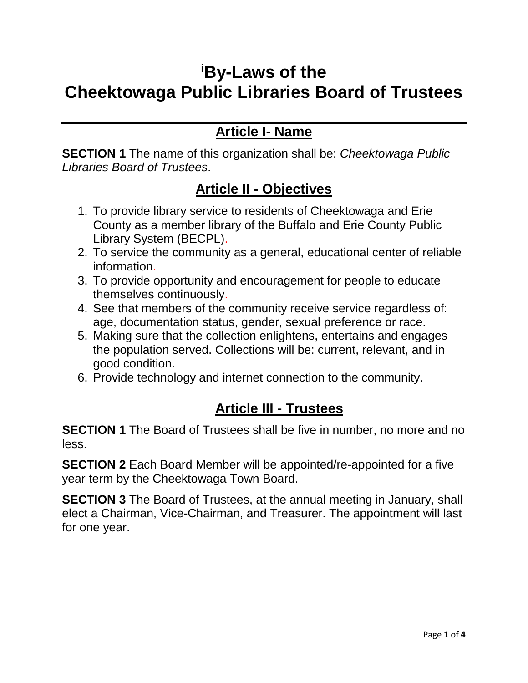# **<sup>i</sup>By-Laws of the Cheektowaga Public Libraries Board of Trustees**

## **Article I- Name**

**SECTION 1** The name of this organization shall be: *Cheektowaga Public Libraries Board of Trustees*.

#### **Article II - Objectives**

- 1. To provide library service to residents of Cheektowaga and Erie County as a member library of the Buffalo and Erie County Public Library System (BECPL).
- 2. To service the community as a general, educational center of reliable information.
- 3. To provide opportunity and encouragement for people to educate themselves continuously.
- 4. See that members of the community receive service regardless of: age, documentation status, gender, sexual preference or race.
- 5. Making sure that the collection enlightens, entertains and engages the population served. Collections will be: current, relevant, and in good condition.
- 6. Provide technology and internet connection to the community.

# **Article III - Trustees**

**SECTION 1** The Board of Trustees shall be five in number, no more and no less.

**SECTION 2** Each Board Member will be appointed/re-appointed for a five year term by the Cheektowaga Town Board.

**SECTION 3** The Board of Trustees, at the annual meeting in January, shall elect a Chairman, Vice-Chairman, and Treasurer. The appointment will last for one year.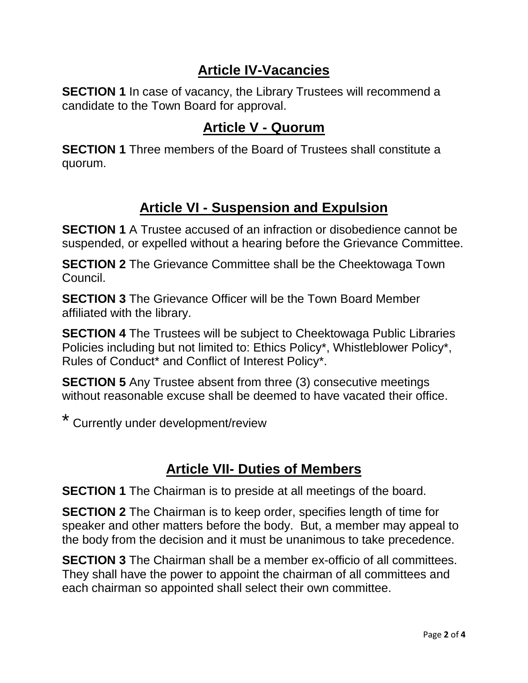#### **Article IV-Vacancies**

**SECTION 1** In case of vacancy, the Library Trustees will recommend a candidate to the Town Board for approval.

#### **Article V - Quorum**

**SECTION 1** Three members of the Board of Trustees shall constitute a quorum.

## **Article VI - Suspension and Expulsion**

**SECTION 1** A Trustee accused of an infraction or disobedience cannot be suspended, or expelled without a hearing before the Grievance Committee.

**SECTION 2** The Grievance Committee shall be the Cheektowaga Town Council.

**SECTION 3** The Grievance Officer will be the Town Board Member affiliated with the library.

**SECTION 4** The Trustees will be subject to Cheektowaga Public Libraries Policies including but not limited to: Ethics Policy\*, Whistleblower Policy\*, Rules of Conduct\* and Conflict of Interest Policy\*.

**SECTION 5** Any Trustee absent from three (3) consecutive meetings without reasonable excuse shall be deemed to have vacated their office.

\* Currently under development/review

## **Article VII- Duties of Members**

**SECTION 1** The Chairman is to preside at all meetings of the board.

**SECTION 2** The Chairman is to keep order, specifies length of time for speaker and other matters before the body. But, a member may appeal to the body from the decision and it must be unanimous to take precedence.

**SECTION 3** The Chairman shall be a member ex-officio of all committees. They shall have the power to appoint the chairman of all committees and each chairman so appointed shall select their own committee.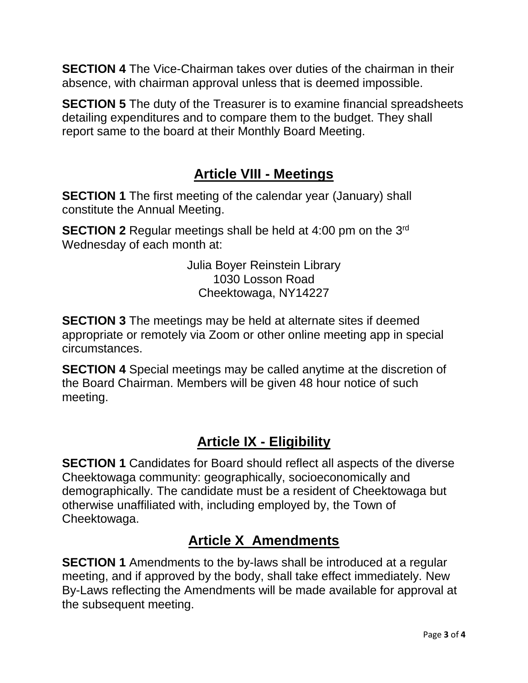**SECTION 4** The Vice-Chairman takes over duties of the chairman in their absence, with chairman approval unless that is deemed impossible.

**SECTION 5** The duty of the Treasurer is to examine financial spreadsheets detailing expenditures and to compare them to the budget. They shall report same to the board at their Monthly Board Meeting.

#### **Article VIII - Meetings**

**SECTION 1** The first meeting of the calendar year (January) shall constitute the Annual Meeting.

**SECTION 2** Regular meetings shall be held at 4:00 pm on the 3<sup>rd</sup> Wednesday of each month at:

> Julia Boyer Reinstein Library 1030 Losson Road Cheektowaga, NY14227

**SECTION 3** The meetings may be held at alternate sites if deemed appropriate or remotely via Zoom or other online meeting app in special circumstances.

**SECTION 4** Special meetings may be called anytime at the discretion of the Board Chairman. Members will be given 48 hour notice of such meeting.

# **Article IX - Eligibility**

**SECTION 1** Candidates for Board should reflect all aspects of the diverse Cheektowaga community: geographically, socioeconomically and demographically. The candidate must be a resident of Cheektowaga but otherwise unaffiliated with, including employed by, the Town of Cheektowaga.

# **Article X Amendments**

**SECTION 1** Amendments to the by-laws shall be introduced at a regular meeting, and if approved by the body, shall take effect immediately. New By-Laws reflecting the Amendments will be made available for approval at the subsequent meeting.